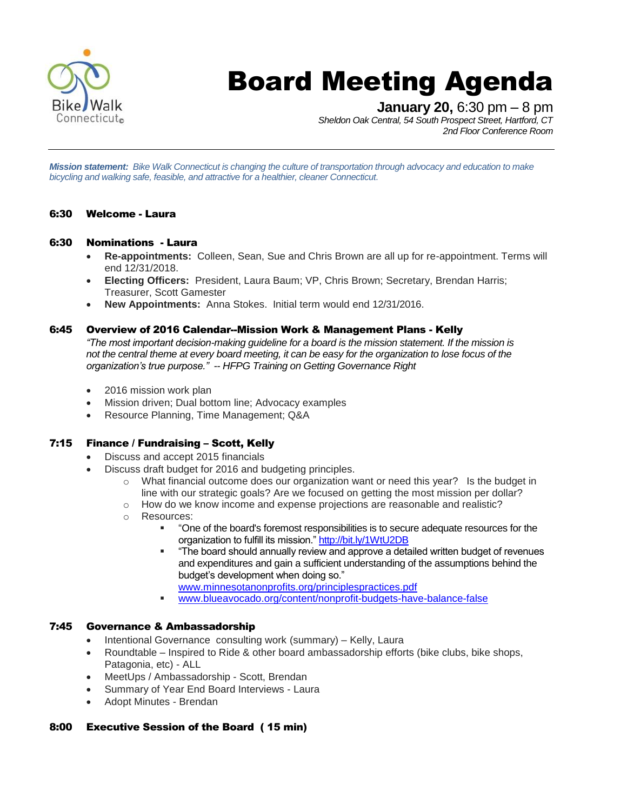

# Board Meeting Agenda

**January 20,** 6:30 pm – 8 pm

*Sheldon Oak Central, 54 South Prospect Street, Hartford, CT 2nd Floor Conference Room*

*Mission statement: Bike Walk Connecticut is changing the culture of transportation through advocacy and education to make bicycling and walking safe, feasible, and attractive for a healthier, cleaner Connecticut.*

#### 6:30 Welcome - Laura

#### 6:30 Nominations - Laura

- **Re-appointments:** Colleen, Sean, Sue and Chris Brown are all up for re-appointment. Terms will end 12/31/2018.
- **Electing Officers:** President, Laura Baum; VP, Chris Brown; Secretary, Brendan Harris; Treasurer, Scott Gamester
- **New Appointments:** Anna Stokes. Initial term would end 12/31/2016.

#### 6:45 Overview of 2016 Calendar--Mission Work & Management Plans - Kelly

*"The most important decision-making guideline for a board is the mission statement. If the mission is not the central theme at every board meeting, it can be easy for the organization to lose focus of the organization's true purpose." -- HFPG Training on Getting Governance Right*

- 2016 mission work plan
- Mission driven; Dual bottom line; Advocacy examples
- Resource Planning, Time Management; Q&A

#### 7:15 Finance / Fundraising – Scott, Kelly

- Discuss and accept 2015 financials
- Discuss draft budget for 2016 and budgeting principles.
	- $\circ$  What financial outcome does our organization want or need this year? Is the budget in line with our strategic goals? Are we focused on getting the most mission per dollar?
	- o How do we know income and expense projections are reasonable and realistic?
	- o Resources:
		- "One of the board's foremost responsibilities is to secure adequate resources for the organization to fulfill its mission.[" http://bit.ly/1WtU2DB](http://bit.ly/1WtU2DB)
		- "The board should annually review and approve a detailed written budget of revenues and expenditures and gain a sufficient understanding of the assumptions behind the budget's development when doing so."
			- [www.minnesotanonprofits.org/principlespractices.pdf](http://www.minnesotanonprofits.org/principlespractices.pdf)
		- [www.blueavocado.org/content/nonprofit-budgets-have-balance-false](http://www.blueavocado.org/content/nonprofit-budgets-have-balance-false)

#### 7:45 Governance & Ambassadorship

- Intentional Governance consulting work (summary) Kelly, Laura
- Roundtable Inspired to Ride & other board ambassadorship efforts (bike clubs, bike shops, Patagonia, etc) - ALL
- MeetUps / Ambassadorship Scott, Brendan
- Summary of Year End Board Interviews Laura
- Adopt Minutes Brendan

#### 8:00 Executive Session of the Board ( 15 min)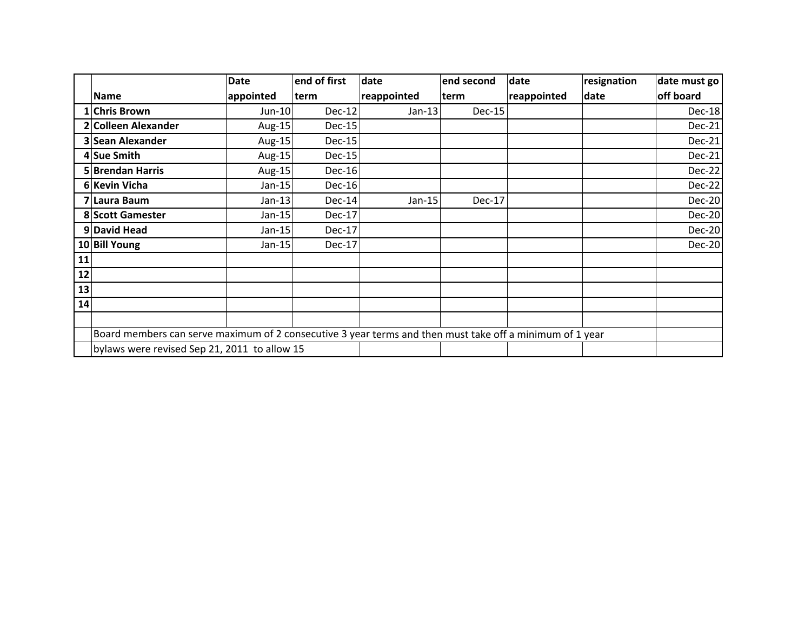|    |                     | <b>Date</b> | end of first | date        | end second | date        | resignation | date must go  |
|----|---------------------|-------------|--------------|-------------|------------|-------------|-------------|---------------|
|    | <b>Name</b>         | appointed   | term         | reappointed | term       | reappointed | date        | off board     |
|    | 1 Chris Brown       | Jun-10      | Dec-12       | $Jan-13$    | $Dec-15$   |             |             | Dec-18        |
|    | 2 Colleen Alexander | Aug-15      | $Dec-15$     |             |            |             |             | Dec-21        |
|    | 3 Sean Alexander    | Aug-15      | $Dec-15$     |             |            |             |             | Dec-21        |
|    | 4 Sue Smith         | Aug-15      | Dec-15       |             |            |             |             | Dec-21        |
|    | 5 Brendan Harris    | Aug-15      | $Dec-16$     |             |            |             |             | <b>Dec-22</b> |
|    | 6 Kevin Vicha       | $Jan-15$    | $Dec-16$     |             |            |             |             | Dec-22        |
|    | 7 Laura Baum        | $Jan-13$    | Dec-14       | Jan-15      | Dec-17     |             |             | <b>Dec-20</b> |
|    | 8 Scott Gamester    | $Jan-15$    | $Dec-17$     |             |            |             |             | Dec-20        |
|    | 9 David Head        | $Jan-15$    | Dec-17       |             |            |             |             | Dec-20        |
|    | 10 Bill Young       | $Jan-15$    | $Dec-17$     |             |            |             |             | Dec-20        |
| 11 |                     |             |              |             |            |             |             |               |
| 12 |                     |             |              |             |            |             |             |               |
| 13 |                     |             |              |             |            |             |             |               |
| 14 |                     |             |              |             |            |             |             |               |
|    |                     |             |              |             |            |             |             |               |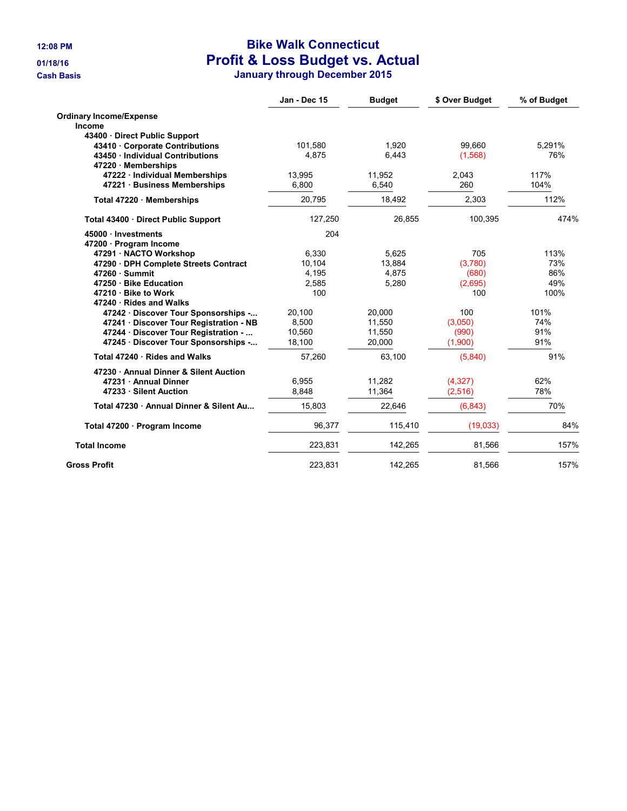## **12:08 PM Bike Walk Connecticut 01/18/16 Profit & Loss Budget vs. Actual**

**Cash Basis January through December 2015**

|                                       | Jan - Dec 15 | <b>Budget</b> | \$ Over Budget | % of Budget |
|---------------------------------------|--------------|---------------|----------------|-------------|
| <b>Ordinary Income/Expense</b>        |              |               |                |             |
| Income                                |              |               |                |             |
| 43400 Direct Public Support           |              |               |                |             |
| 43410 Corporate Contributions         | 101,580      | 1.920         | 99,660         | 5.291%      |
| 43450 · Individual Contributions      | 4.875        | 6,443         | (1,568)        | 76%         |
| 47220 Memberships                     |              |               |                |             |
| 47222 · Individual Memberships        | 13,995       | 11,952        | 2,043          | 117%        |
| 47221 Business Memberships            | 6,800        | 6.540         | 260            | 104%        |
| Total 47220 Memberships               | 20,795       | 18,492        | 2,303          | 112%        |
| Total 43400 · Direct Public Support   | 127,250      | 26,855        | 100,395        | 474%        |
| 45000 · Investments                   | 204          |               |                |             |
| 47200 · Program Income                |              |               |                |             |
| 47291 · NACTO Workshop                | 6.330        | 5.625         | 705            | 113%        |
| 47290 · DPH Complete Streets Contract | 10,104       | 13,884        | (3,780)        | 73%         |
| $47260 \cdot$ Summit                  | 4,195        | 4,875         | (680)          | 86%         |
| 47250 · Bike Education                | 2,585        | 5,280         | (2,695)        | 49%         |
| 47210 · Bike to Work                  | 100          |               | 100            | 100%        |
| 47240 · Rides and Walks               |              |               |                |             |
| 47242 Discover Tour Sponsorships -    | 20.100       | 20.000        | 100            | 101%        |
| 47241 Discover Tour Registration - NB | 8,500        | 11,550        | (3,050)        | 74%         |
| 47244 · Discover Tour Registration -  | 10,560       | 11,550        | (990)          | 91%         |
| 47245 · Discover Tour Sponsorships -  | 18,100       | 20,000        | (1,900)        | 91%         |
| Total 47240 · Rides and Walks         | 57,260       | 63,100        | (5,840)        | 91%         |
| 47230 Annual Dinner & Silent Auction  |              |               |                |             |
| 47231 Annual Dinner                   | 6,955        | 11,282        | (4,327)        | 62%         |
| 47233 Silent Auction                  | 8,848        | 11,364        | (2,516)        | 78%         |
| Total 47230 Annual Dinner & Silent Au | 15,803       | 22,646        | (6, 843)       | 70%         |
| Total 47200 · Program Income          | 96,377       | 115,410       | (19,033)       | 84%         |
| <b>Total Income</b>                   | 223,831      | 142,265       | 81,566         | 157%        |
| <b>Gross Profit</b>                   | 223.831      | 142.265       | 81.566         | 157%        |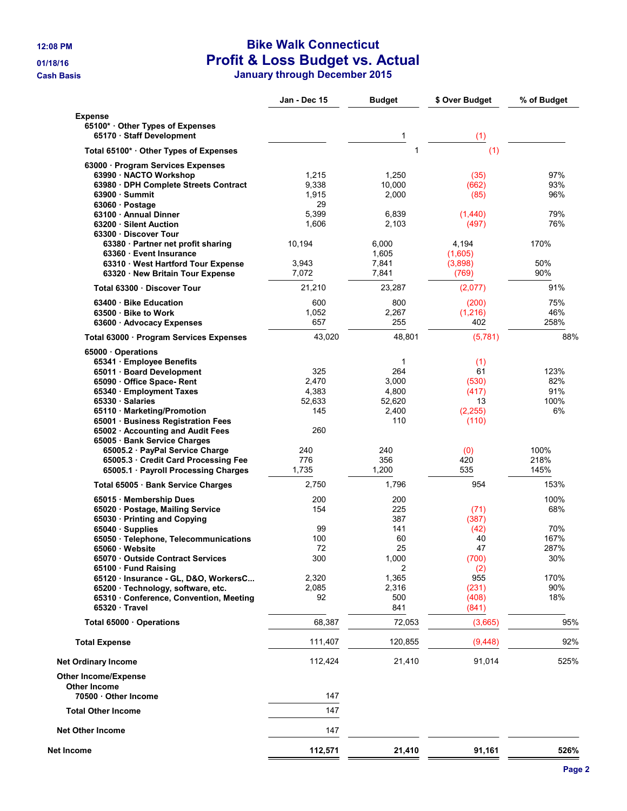## **12:08 PM Bike Walk Connecticut 01/18/16 Profit & Loss Budget vs. Actual**

**Cash Basis January through December 2015**

|                                                    | Jan - Dec 15  | <b>Budget</b>   | \$ Over Budget | % of Budget |
|----------------------------------------------------|---------------|-----------------|----------------|-------------|
| <b>Expense</b>                                     |               |                 |                |             |
| 65100* Other Types of Expenses                     |               |                 |                |             |
| 65170 · Staff Development                          |               | 1               | (1)            |             |
| Total 65100* · Other Types of Expenses             |               | 1               | (1)            |             |
| 63000 · Program Services Expenses                  |               |                 |                |             |
| 63990 · NACTO Workshop                             | 1,215         | 1,250           | (35)           | 97%         |
| 63980 · DPH Complete Streets Contract              | 9,338         | 10,000          | (662)          | 93%         |
| 63900 Summit                                       | 1,915<br>29   | 2,000           | (85)           | 96%         |
| 63060 · Postage<br>63100 · Annual Dinner           | 5,399         | 6,839           | (1,440)        | 79%         |
| 63200 · Silent Auction                             | 1,606         | 2,103           | (497)          | 76%         |
| 63300 Discover Tour                                |               |                 |                |             |
| 63380 · Partner net profit sharing                 | 10,194        | 6,000           | 4,194          | 170%        |
| 63360 Event Insurance                              |               | 1,605           | (1,605)        |             |
| 63310 · West Hartford Tour Expense                 | 3,943         | 7,841           | (3,898)        | 50%         |
| 63320 · New Britain Tour Expense                   | 7,072         | 7,841           | (769)          | 90%         |
| Total 63300 Discover Tour                          | 21,210        | 23,287          | (2,077)        | 91%         |
| 63400 · Bike Education                             | 600           | 800             | (200)          | 75%         |
| 63500 Bike to Work                                 | 1,052         | 2,267           | (1,216)        | 46%         |
| 63600 · Advocacy Expenses                          | 657           | 255             | 402            | 258%        |
| Total 63000 · Program Services Expenses            | 43,020        | 48,801          | (5,781)        | 88%         |
| 65000 Operations                                   |               |                 |                |             |
| 65341 · Employee Benefits                          |               | 1               | (1)            |             |
| 65011 · Board Development                          | 325           | 264             | 61             | 123%        |
| 65090 Office Space-Rent                            | 2,470         | 3,000           | (530)          | 82%         |
| 65340 · Employment Taxes                           | 4,383         | 4,800           | (417)<br>13    | 91%<br>100% |
| 65330 · Salaries<br>65110 · Marketing/Promotion    | 52,633<br>145 | 52,620<br>2,400 | (2, 255)       | 6%          |
| 65001 · Business Registration Fees                 |               | 110             | (110)          |             |
| 65002 · Accounting and Audit Fees                  | 260           |                 |                |             |
| 65005 · Bank Service Charges                       |               |                 |                |             |
| 65005.2 · PayPal Service Charge                    | 240           | 240             | (0)            | 100%        |
| 65005.3 Credit Card Processing Fee                 | 776           | 356             | 420            | 218%        |
| 65005.1 Payroll Processing Charges                 | 1,735         | 1,200           | 535            | 145%        |
| Total 65005 · Bank Service Charges                 | 2,750         | 1,796           | 954            | 153%        |
| 65015 · Membership Dues                            | 200           | 200             |                | 100%        |
| 65020 · Postage, Mailing Service                   | 154           | 225             | (71)           | 68%         |
| 65030 · Printing and Copying                       |               | 387             | (387)          |             |
| 65040 · Supplies                                   | 99            | 141             | (42)           | 70%         |
| 65050 · Telephone, Telecommunications              | 100           | 60              | 40             | 167%        |
| 65060 Website<br>65070 Outside Contract Services   | 72<br>300     | 25<br>1,000     | 47<br>(700)    | 287%<br>30% |
| 65100 · Fund Raising                               |               | 2               | (2)            |             |
| 65120 · Insurance - GL, D&O, WorkersC              | 2,320         | 1,365           | 955            | 170%        |
| 65200 · Technology, software, etc.                 | 2,085         | 2,316           | (231)          | 90%         |
| 65310 Conference, Convention, Meeting              | 92            | 500             | (408)          | 18%         |
| 65320 Travel                                       |               | 841             | (841)          |             |
| Total 65000 Operations                             | 68,387        | 72,053          | (3,665)        | 95%         |
| <b>Total Expense</b>                               | 111,407       | 120,855         | (9, 448)       | 92%         |
| <b>Net Ordinary Income</b>                         | 112,424       | 21,410          | 91,014         | 525%        |
| <b>Other Income/Expense</b><br><b>Other Income</b> |               |                 |                |             |
| 70500 Other Income                                 | 147           |                 |                |             |
| <b>Total Other Income</b>                          | 147           |                 |                |             |
| <b>Net Other Income</b>                            | 147           |                 |                |             |
| Net Income                                         | 112,571       | 21,410          | 91,161         | 526%        |
|                                                    |               |                 |                |             |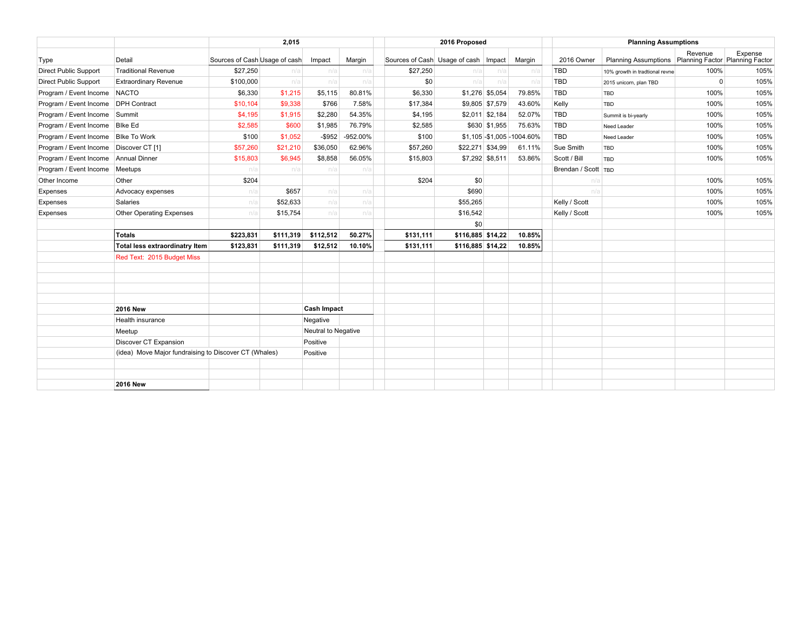|                                          | 2,015                                                 |                               |           |                     | 2016 Proposed |                                        |                   | <b>Planning Assumptions</b> |                              |                     |                                                      |              |         |
|------------------------------------------|-------------------------------------------------------|-------------------------------|-----------|---------------------|---------------|----------------------------------------|-------------------|-----------------------------|------------------------------|---------------------|------------------------------------------------------|--------------|---------|
| Type                                     | Detail                                                | Sources of Cash Usage of cash |           | Impact              | Margin        | Sources of Cash Usage of cash   Impact |                   |                             | Margin                       | 2016 Owner          | Planning Assumptions Planning Factor Planning Factor | Revenue      | Expense |
| <b>Direct Public Support</b>             | <b>Traditional Revenue</b>                            | \$27,250                      | n/a       | n/a                 | n/a           | \$27,250                               | n/a               | n/a                         | n/a                          | <b>TBD</b>          | 10% growth in tradtional revne                       | 100%         | 105%    |
| <b>Direct Public Support</b>             | <b>Extraordinary Revenue</b>                          | \$100,000                     | n/a       | n/a                 | n/a           | \$0                                    | n/a               | n/a                         | n/a                          | <b>TBD</b>          | 2015 unicorn, plan TBD                               | $\mathbf{0}$ | 105%    |
| Program / Event Income NACTO             |                                                       | \$6,330                       | \$1,215   | \$5,115             | 80.81%        | \$6,330                                |                   | \$1,276 \$5,054             | 79.85%                       | <b>TBD</b>          | TBD                                                  | 100%         | 105%    |
| Program / Event Income DPH Contract      |                                                       | \$10,104                      | \$9,338   | \$766               | 7.58%         | \$17,384                               |                   | \$9,805 \$7,579             | 43.60%                       | Kelly               | <b>TBD</b>                                           | 100%         | 105%    |
| Program / Event Income Summit            |                                                       | \$4,195                       | \$1,915   | \$2,280             | 54.35%        | \$4,195                                |                   | $$2,011$ \$2,184            | 52.07%                       | <b>TBD</b>          | Summit is bi-yearly                                  | 100%         | 105%    |
| Program / Event Income                   | <b>Blke Ed</b>                                        | \$2,585                       | \$600     | \$1,985             | 76.79%        | \$2,585                                |                   | \$630 \$1,955               | 75.63%                       | <b>TBD</b>          | Need Leader                                          | 100%         | 105%    |
| Program / Event Income Blke To Work      |                                                       | \$100                         | \$1,052   | $-$ \$952           | -952.00%      | \$100                                  |                   |                             | \$1,105 - \$1,005 - 1004.60% | <b>TBD</b>          | Need Leader                                          | 100%         | 105%    |
| Program / Event Income   Discover CT [1] |                                                       | \$57,260                      | \$21,210  | \$36,050            | 62.96%        | \$57,260                               | \$22,271 \$34,99  |                             | 61.11%                       | Sue Smith           | <b>TBD</b>                                           | 100%         | 105%    |
| Program / Event Income   Annual Dinner   |                                                       | \$15,803                      | \$6,945   | \$8,858             | 56.05%        | \$15,803                               |                   | \$7,292 \$8,511             | 53.86%                       | Scott / Bill        | <b>TBD</b>                                           | 100%         | 105%    |
| Program / Event Income                   | Meetups                                               | n/a                           | n/a       | n/a                 | n/a           |                                        |                   |                             |                              | Brendan / Scott TBD |                                                      |              |         |
| Other Income                             | Other                                                 | \$204                         |           |                     |               | \$204                                  | \$0               |                             |                              | n/a                 |                                                      | 100%         | 105%    |
| Expenses                                 | Advocacy expenses                                     | n/a                           | \$657     | n/a                 | n/a           |                                        | \$690             |                             |                              | n/a                 |                                                      | 100%         | 105%    |
| Expenses                                 | Salaries                                              | n/a                           | \$52,633  | n/a                 | n/a           |                                        | \$55,265          |                             |                              | Kelly / Scott       |                                                      | 100%         | 105%    |
| Expenses                                 | <b>Other Operating Expenses</b>                       | n/a                           | \$15,754  | n/a                 | n/a           |                                        | \$16,542          |                             |                              | Kelly / Scott       |                                                      | 100%         | 105%    |
|                                          |                                                       |                               |           |                     |               |                                        | \$0               |                             |                              |                     |                                                      |              |         |
|                                          | Totals                                                | \$223,831                     | \$111,319 | \$112,512           | 50.27%        | \$131,111                              | \$116,885 \$14,22 |                             | 10.85%                       |                     |                                                      |              |         |
|                                          | Total less extraordinatry Item                        | \$123,831                     | \$111,319 | \$12,512            | 10.10%        | \$131,111                              | \$116,885 \$14,22 |                             | 10.85%                       |                     |                                                      |              |         |
|                                          | Red Text: 2015 Budget Miss                            |                               |           |                     |               |                                        |                   |                             |                              |                     |                                                      |              |         |
|                                          |                                                       |                               |           |                     |               |                                        |                   |                             |                              |                     |                                                      |              |         |
|                                          | <b>2016 New</b>                                       |                               |           | <b>Cash Impact</b>  |               |                                        |                   |                             |                              |                     |                                                      |              |         |
|                                          | Health insurance                                      |                               |           | Negative            |               |                                        |                   |                             |                              |                     |                                                      |              |         |
|                                          | Meetup                                                |                               |           | Neutral to Negative |               |                                        |                   |                             |                              |                     |                                                      |              |         |
|                                          | Discover CT Expansion                                 |                               |           | Positive            |               |                                        |                   |                             |                              |                     |                                                      |              |         |
|                                          | (idea) Move Major fundraising to Discover CT (Whales) |                               |           | Positive            |               |                                        |                   |                             |                              |                     |                                                      |              |         |
|                                          |                                                       |                               |           |                     |               |                                        |                   |                             |                              |                     |                                                      |              |         |
|                                          | <b>2016 New</b>                                       |                               |           |                     |               |                                        |                   |                             |                              |                     |                                                      |              |         |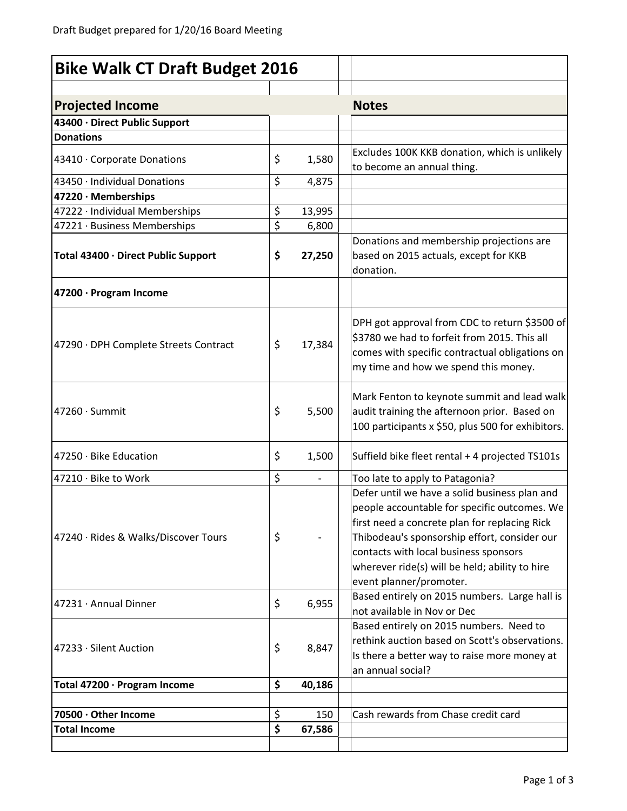| <b>Bike Walk CT Draft Budget 2016</b>       |          |               |                                                                                                                                                                                                                                                                                                                      |
|---------------------------------------------|----------|---------------|----------------------------------------------------------------------------------------------------------------------------------------------------------------------------------------------------------------------------------------------------------------------------------------------------------------------|
| <b>Projected Income</b>                     |          |               | <b>Notes</b>                                                                                                                                                                                                                                                                                                         |
| 43400 · Direct Public Support               |          |               |                                                                                                                                                                                                                                                                                                                      |
| <b>Donations</b>                            |          |               |                                                                                                                                                                                                                                                                                                                      |
| 43410 · Corporate Donations                 | \$       | 1,580         | Excludes 100K KKB donation, which is unlikely<br>to become an annual thing.                                                                                                                                                                                                                                          |
| 43450 · Individual Donations                | \$       | 4,875         |                                                                                                                                                                                                                                                                                                                      |
| 47220 · Memberships                         |          |               |                                                                                                                                                                                                                                                                                                                      |
| 47222 · Individual Memberships              | \$       | 13,995        |                                                                                                                                                                                                                                                                                                                      |
| 47221 · Business Memberships                | \$       | 6,800         |                                                                                                                                                                                                                                                                                                                      |
| Total 43400 · Direct Public Support         | \$       | 27,250        | Donations and membership projections are<br>based on 2015 actuals, except for KKB<br>donation.                                                                                                                                                                                                                       |
| 47200 · Program Income                      |          |               |                                                                                                                                                                                                                                                                                                                      |
| 47290 · DPH Complete Streets Contract       | \$       | 17,384        | DPH got approval from CDC to return \$3500 of<br>\$3780 we had to forfeit from 2015. This all<br>comes with specific contractual obligations on<br>my time and how we spend this money.                                                                                                                              |
| 47260 · Summit                              | \$       | 5,500         | Mark Fenton to keynote summit and lead walk<br>audit training the afternoon prior. Based on<br>100 participants x \$50, plus 500 for exhibitors.                                                                                                                                                                     |
| 47250 · Bike Education                      | \$       | 1,500         | Suffield bike fleet rental + 4 projected TS101s                                                                                                                                                                                                                                                                      |
| 47210 · Bike to Work                        | \$       |               | Too late to apply to Patagonia?                                                                                                                                                                                                                                                                                      |
| 47240 · Rides & Walks/Discover Tours        | \$       |               | Defer until we have a solid business plan and<br>people accountable for specific outcomes. We<br>first need a concrete plan for replacing Rick<br>Thibodeau's sponsorship effort, consider our<br>contacts with local business sponsors<br>wherever ride(s) will be held; ability to hire<br>event planner/promoter. |
| 47231 Annual Dinner                         | \$       | 6,955         | Based entirely on 2015 numbers. Large hall is<br>not available in Nov or Dec<br>Based entirely on 2015 numbers. Need to                                                                                                                                                                                              |
| 47233 · Silent Auction                      | \$       | 8,847         | rethink auction based on Scott's observations.<br>Is there a better way to raise more money at<br>an annual social?                                                                                                                                                                                                  |
| Total 47200 · Program Income                | \$       | 40,186        |                                                                                                                                                                                                                                                                                                                      |
| 70500 · Other Income<br><b>Total Income</b> | \$<br>\$ | 150<br>67,586 | Cash rewards from Chase credit card                                                                                                                                                                                                                                                                                  |
|                                             |          |               |                                                                                                                                                                                                                                                                                                                      |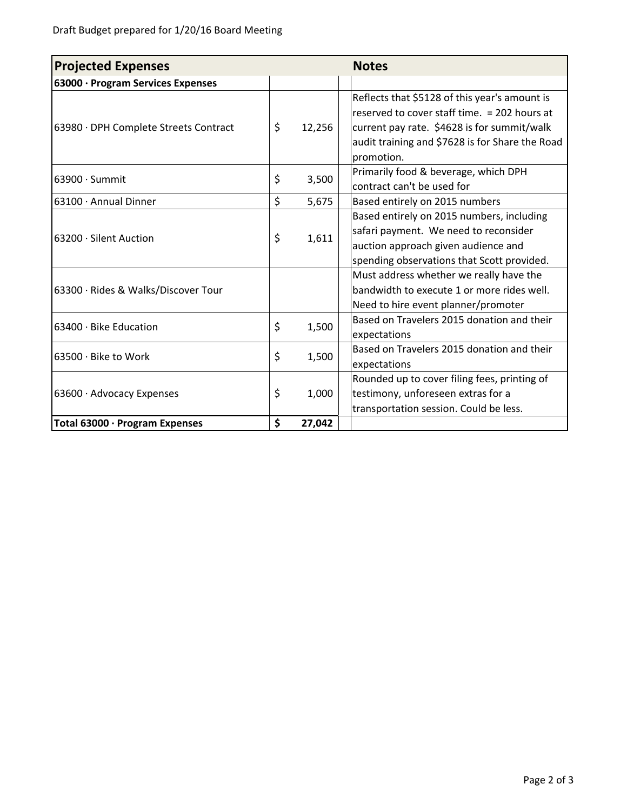| <b>Projected Expenses</b>             | <b>Notes</b> |                                                 |
|---------------------------------------|--------------|-------------------------------------------------|
| 63000 · Program Services Expenses     |              |                                                 |
|                                       |              | Reflects that \$5128 of this year's amount is   |
|                                       |              | reserved to cover staff time. = 202 hours at    |
| 63980 · DPH Complete Streets Contract | \$<br>12,256 | current pay rate. \$4628 is for summit/walk     |
|                                       |              | audit training and \$7628 is for Share the Road |
|                                       |              | promotion.                                      |
| $63900 \cdot$ Summit                  | \$<br>3,500  | Primarily food & beverage, which DPH            |
|                                       |              | contract can't be used for                      |
| 63100 · Annual Dinner                 | \$<br>5,675  | Based entirely on 2015 numbers                  |
|                                       |              | Based entirely on 2015 numbers, including       |
| 63200 · Silent Auction                | \$<br>1,611  | safari payment. We need to reconsider           |
|                                       |              | auction approach given audience and             |
|                                       |              | spending observations that Scott provided.      |
|                                       |              | Must address whether we really have the         |
| 63300 · Rides & Walks/Discover Tour   |              | bandwidth to execute 1 or more rides well.      |
|                                       |              | Need to hire event planner/promoter             |
| 63400 · Bike Education                | \$<br>1,500  | Based on Travelers 2015 donation and their      |
|                                       |              | expectations                                    |
| 63500 · Bike to Work                  | \$<br>1,500  | Based on Travelers 2015 donation and their      |
|                                       |              | expectations                                    |
|                                       |              | Rounded up to cover filing fees, printing of    |
| 63600 · Advocacy Expenses             | \$<br>1,000  | testimony, unforeseen extras for a              |
|                                       |              | transportation session. Could be less.          |
| Total 63000 · Program Expenses        | \$<br>27,042 |                                                 |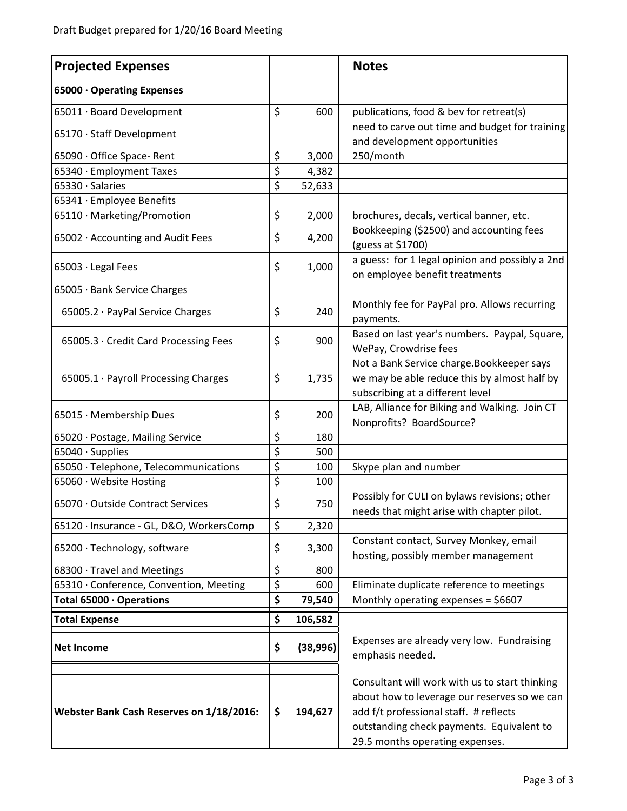| <b>Projected Expenses</b>                |                 | <b>Notes</b>                                                                                                                                                                                                             |
|------------------------------------------|-----------------|--------------------------------------------------------------------------------------------------------------------------------------------------------------------------------------------------------------------------|
| 65000 · Operating Expenses               |                 |                                                                                                                                                                                                                          |
| 65011 · Board Development                | \$<br>600       | publications, food & bev for retreat(s)                                                                                                                                                                                  |
| 65170 · Staff Development                |                 | need to carve out time and budget for training                                                                                                                                                                           |
|                                          |                 | and development opportunities                                                                                                                                                                                            |
| 65090 · Office Space- Rent               | \$<br>3,000     | 250/month                                                                                                                                                                                                                |
| 65340 · Employment Taxes                 | \$<br>4,382     |                                                                                                                                                                                                                          |
| 65330 · Salaries                         | \$<br>52,633    |                                                                                                                                                                                                                          |
| 65341 · Employee Benefits                |                 |                                                                                                                                                                                                                          |
| 65110 · Marketing/Promotion              | \$<br>2,000     | brochures, decals, vertical banner, etc.                                                                                                                                                                                 |
| 65002 · Accounting and Audit Fees        | \$<br>4,200     | Bookkeeping (\$2500) and accounting fees<br>(guess at \$1700)                                                                                                                                                            |
| 65003 · Legal Fees                       | \$<br>1,000     | a guess: for 1 legal opinion and possibly a 2nd<br>on employee benefit treatments                                                                                                                                        |
| 65005 · Bank Service Charges             |                 |                                                                                                                                                                                                                          |
| 65005.2 · PayPal Service Charges         | \$<br>240       | Monthly fee for PayPal pro. Allows recurring<br>payments.                                                                                                                                                                |
| 65005.3 Credit Card Processing Fees      | \$<br>900       | Based on last year's numbers. Paypal, Square,<br>WePay, Crowdrise fees                                                                                                                                                   |
| 65005.1 · Payroll Processing Charges     | \$<br>1,735     | Not a Bank Service charge. Bookkeeper says<br>we may be able reduce this by almost half by<br>subscribing at a different level                                                                                           |
| 65015 · Membership Dues                  | \$<br>200       | LAB, Alliance for Biking and Walking. Join CT<br>Nonprofits? BoardSource?                                                                                                                                                |
| 65020 · Postage, Mailing Service         | \$<br>180       |                                                                                                                                                                                                                          |
| 65040 · Supplies                         | \$<br>500       |                                                                                                                                                                                                                          |
| 65050 · Telephone, Telecommunications    | \$<br>100       | Skype plan and number                                                                                                                                                                                                    |
| 65060 · Website Hosting                  | \$<br>100       |                                                                                                                                                                                                                          |
| 65070 · Outside Contract Services        | \$<br>750       | Possibly for CULI on bylaws revisions; other<br>needs that might arise with chapter pilot.                                                                                                                               |
| 65120 · Insurance - GL, D&O, WorkersComp | \$<br>2,320     |                                                                                                                                                                                                                          |
| 65200 · Technology, software             | \$<br>3,300     | Constant contact, Survey Monkey, email<br>hosting, possibly member management                                                                                                                                            |
| 68300 · Travel and Meetings              | \$<br>800       |                                                                                                                                                                                                                          |
| 65310 · Conference, Convention, Meeting  | \$<br>600       | Eliminate duplicate reference to meetings                                                                                                                                                                                |
| Total 65000 · Operations                 | \$<br>79,540    | Monthly operating expenses = $$6607$                                                                                                                                                                                     |
| <b>Total Expense</b>                     | \$<br>106,582   |                                                                                                                                                                                                                          |
| <b>Net Income</b>                        | \$<br>(38, 996) | Expenses are already very low. Fundraising<br>emphasis needed.                                                                                                                                                           |
| Webster Bank Cash Reserves on 1/18/2016: | \$<br>194,627   | Consultant will work with us to start thinking<br>about how to leverage our reserves so we can<br>add f/t professional staff. # reflects<br>outstanding check payments. Equivalent to<br>29.5 months operating expenses. |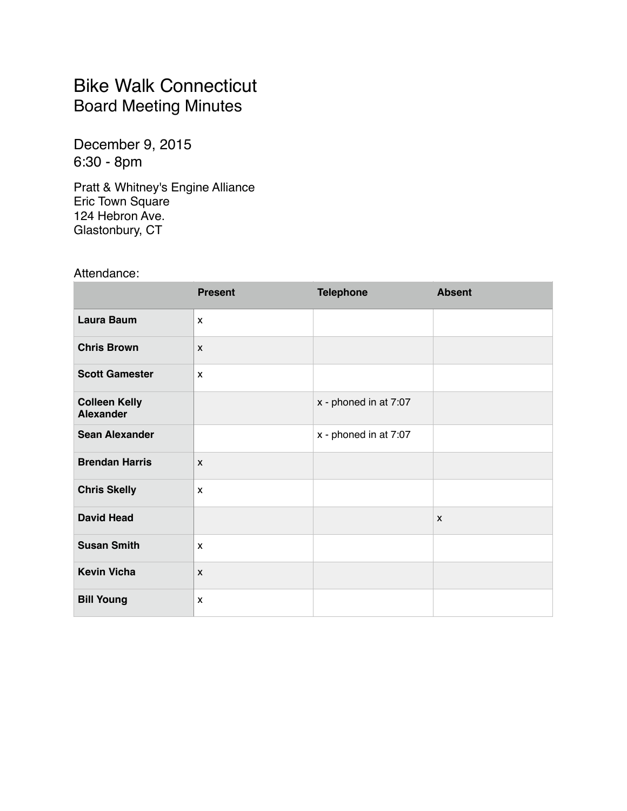### Bike Walk Connecticut Board Meeting Minutes

December 9, 2015 6:30 - 8pm

Pratt & Whitney's Engine Alliance Eric Town Square 124 Hebron Ave. Glastonbury, CT

Attendance:

|                                          | <b>Present</b> | <b>Telephone</b>      | <b>Absent</b> |
|------------------------------------------|----------------|-----------------------|---------------|
| Laura Baum                               | $\mathbf{x}$   |                       |               |
| <b>Chris Brown</b>                       | $\mathsf{x}$   |                       |               |
| <b>Scott Gamester</b>                    | $\mathsf{x}$   |                       |               |
| <b>Colleen Kelly</b><br><b>Alexander</b> |                | x - phoned in at 7:07 |               |
| <b>Sean Alexander</b>                    |                | x - phoned in at 7:07 |               |
| <b>Brendan Harris</b>                    | $\mathsf{x}$   |                       |               |
| <b>Chris Skelly</b>                      | $\mathsf{x}$   |                       |               |
| <b>David Head</b>                        |                |                       | $\mathsf{x}$  |
| <b>Susan Smith</b>                       | $\mathbf{x}$   |                       |               |
| <b>Kevin Vicha</b>                       | $\mathsf{x}$   |                       |               |
| <b>Bill Young</b>                        | X              |                       |               |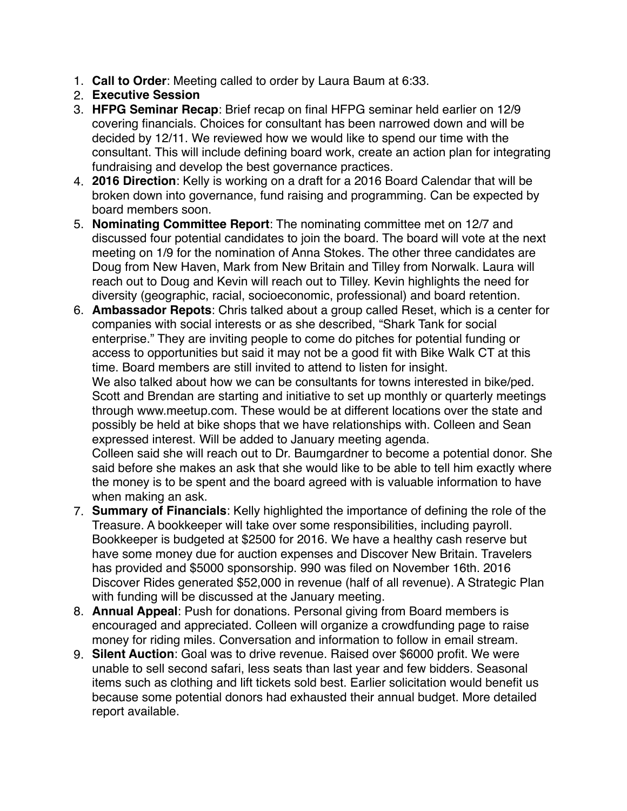- 1. **Call to Order**: Meeting called to order by Laura Baum at 6:33.
- 2. **Executive Session**
- 3. **HFPG Seminar Recap**: Brief recap on final HFPG seminar held earlier on 12/9 covering financials. Choices for consultant has been narrowed down and will be decided by 12/11. We reviewed how we would like to spend our time with the consultant. This will include defining board work, create an action plan for integrating fundraising and develop the best governance practices.
- 4. **2016 Direction**: Kelly is working on a draft for a 2016 Board Calendar that will be broken down into governance, fund raising and programming. Can be expected by board members soon.
- 5. **Nominating Committee Report**: The nominating committee met on 12/7 and discussed four potential candidates to join the board. The board will vote at the next meeting on 1/9 for the nomination of Anna Stokes. The other three candidates are Doug from New Haven, Mark from New Britain and Tilley from Norwalk. Laura will reach out to Doug and Kevin will reach out to Tilley. Kevin highlights the need for diversity (geographic, racial, socioeconomic, professional) and board retention.
- 6. **Ambassador Repots**: Chris talked about a group called Reset, which is a center for companies with social interests or as she described, "Shark Tank for social enterprise." They are inviting people to come do pitches for potential funding or access to opportunities but said it may not be a good fit with Bike Walk CT at this time. Board members are still invited to attend to listen for insight.

We also talked about how we can be consultants for towns interested in bike/ped. Scott and Brendan are starting and initiative to set up monthly or quarterly meetings through [www.meetup.com.](http://www.meetup.com) These would be at different locations over the state and possibly be held at bike shops that we have relationships with. Colleen and Sean expressed interest. Will be added to January meeting agenda.

Colleen said she will reach out to Dr. Baumgardner to become a potential donor. She said before she makes an ask that she would like to be able to tell him exactly where the money is to be spent and the board agreed with is valuable information to have when making an ask.

- 7. **Summary of Financials**: Kelly highlighted the importance of defining the role of the Treasure. A bookkeeper will take over some responsibilities, including payroll. Bookkeeper is budgeted at \$2500 for 2016. We have a healthy cash reserve but have some money due for auction expenses and Discover New Britain. Travelers has provided and \$5000 sponsorship. 990 was filed on November 16th. 2016 Discover Rides generated \$52,000 in revenue (half of all revenue). A Strategic Plan with funding will be discussed at the January meeting.
- 8. **Annual Appeal**: Push for donations. Personal giving from Board members is encouraged and appreciated. Colleen will organize a crowdfunding page to raise money for riding miles. Conversation and information to follow in email stream.
- 9. **Silent Auction**: Goal was to drive revenue. Raised over \$6000 profit. We were unable to sell second safari, less seats than last year and few bidders. Seasonal items such as clothing and lift tickets sold best. Earlier solicitation would benefit us because some potential donors had exhausted their annual budget. More detailed report available.